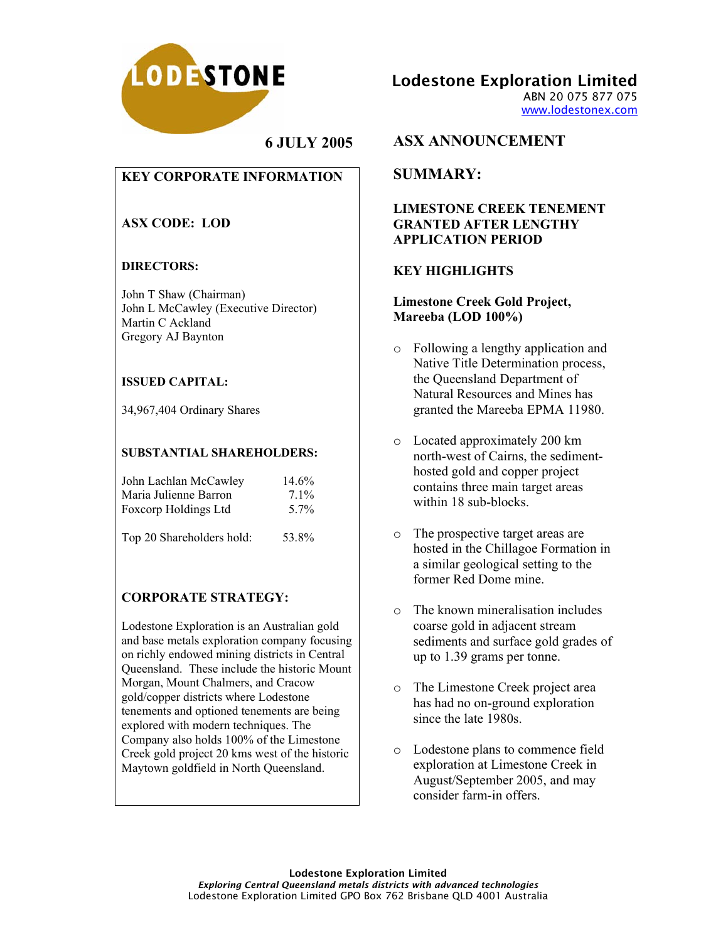

Lodestone Exploration Limited

ABN 20 075 877 075 www.lodestonex.com

# **6 JULY 2005**

# **KEY CORPORATE INFORMATION**

# **ASX CODE: LOD**

## **DIRECTORS:**

John T Shaw (Chairman) John L McCawley (Executive Director) Martin C Ackland Gregory AJ Baynton

## **ISSUED CAPITAL:**

34,967,404 Ordinary Shares

## **SUBSTANTIAL SHAREHOLDERS:**

| John Lachlan McCawley | 14.6%   |
|-----------------------|---------|
| Maria Julienne Barron | $7.1\%$ |
| Foxcorp Holdings Ltd  | $5.7\%$ |
|                       |         |

Top 20 Shareholders hold: 53.8%

## **CORPORATE STRATEGY:**

Lodestone Exploration is an Australian gold and base metals exploration company focusing on richly endowed mining districts in Central Queensland. These include the historic Mount Morgan, Mount Chalmers, and Cracow gold/copper districts where Lodestone tenements and optioned tenements are being explored with modern techniques. The Company also holds 100% of the Limestone Creek gold project 20 kms west of the historic Maytown goldfield in North Queensland.

# **ASX ANNOUNCEMENT**

# **SUMMARY:**

**LIMESTONE CREEK TENEMENT GRANTED AFTER LENGTHY APPLICATION PERIOD** 

## **KEY HIGHLIGHTS**

## **Limestone Creek Gold Project, Mareeba (LOD 100%)**

- o Following a lengthy application and Native Title Determination process, the Queensland Department of Natural Resources and Mines has granted the Mareeba EPMA 11980.
- o Located approximately 200 km north-west of Cairns, the sedimenthosted gold and copper project contains three main target areas within 18 sub-blocks.
- o The prospective target areas are hosted in the Chillagoe Formation in a similar geological setting to the former Red Dome mine.
- o The known mineralisation includes coarse gold in adjacent stream sediments and surface gold grades of up to 1.39 grams per tonne.
- o The Limestone Creek project area has had no on-ground exploration since the late 1980s.
- o Lodestone plans to commence field exploration at Limestone Creek in August/September 2005, and may consider farm-in offers.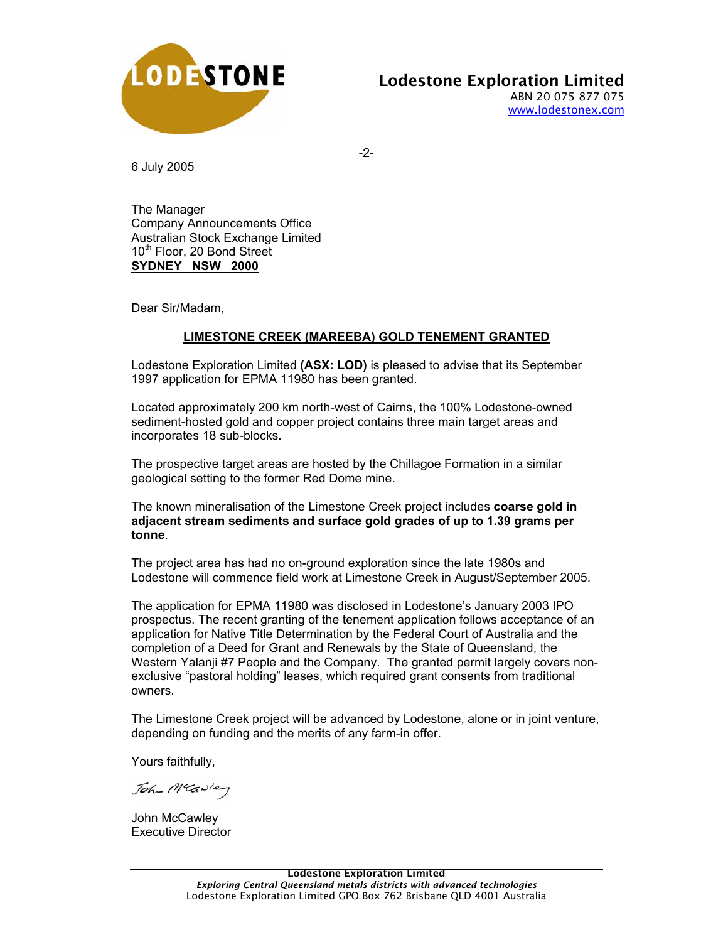

-2-

6 July 2005

The Manager Company Announcements Office Australian Stock Exchange Limited 10<sup>th</sup> Floor, 20 Bond Street **SYDNEY NSW 2000**

Dear Sir/Madam,

## **LIMESTONE CREEK (MAREEBA) GOLD TENEMENT GRANTED**

Lodestone Exploration Limited **(ASX: LOD)** is pleased to advise that its September 1997 application for EPMA 11980 has been granted.

Located approximately 200 km north-west of Cairns, the 100% Lodestone-owned sediment-hosted gold and copper project contains three main target areas and incorporates 18 sub-blocks.

The prospective target areas are hosted by the Chillagoe Formation in a similar geological setting to the former Red Dome mine.

The known mineralisation of the Limestone Creek project includes **coarse gold in adjacent stream sediments and surface gold grades of up to 1.39 grams per tonne**.

The project area has had no on-ground exploration since the late 1980s and Lodestone will commence field work at Limestone Creek in August/September 2005.

The application for EPMA 11980 was disclosed in Lodestone's January 2003 IPO prospectus. The recent granting of the tenement application follows acceptance of an application for Native Title Determination by the Federal Court of Australia and the completion of a Deed for Grant and Renewals by the State of Queensland, the Western Yalanji #7 People and the Company. The granted permit largely covers nonexclusive "pastoral holding" leases, which required grant consents from traditional owners.

The Limestone Creek project will be advanced by Lodestone, alone or in joint venture, depending on funding and the merits of any farm-in offer.

Yours faithfully,

John Meadley

John McCawley Executive Director